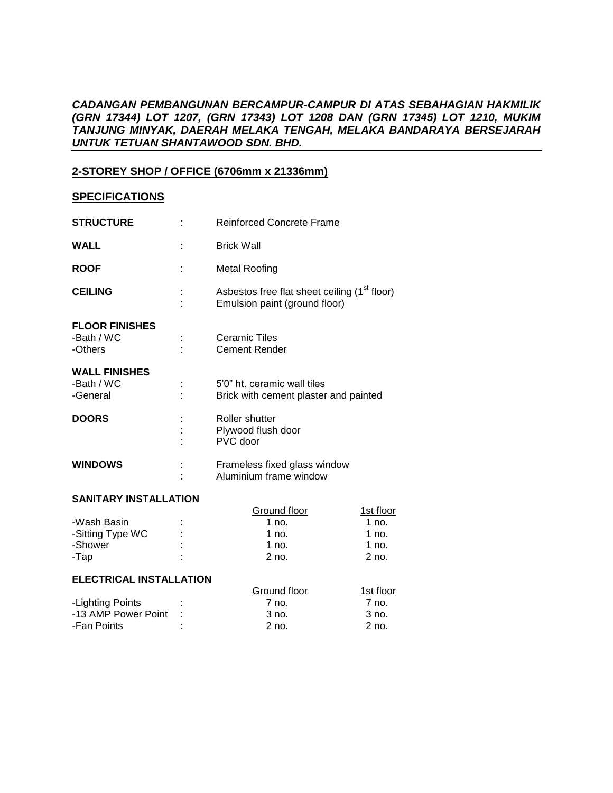# *CADANGAN PEMBANGUNAN BERCAMPUR-CAMPUR DI ATAS SEBAHAGIAN HAKMILIK (GRN 17344) LOT 1207, (GRN 17343) LOT 1208 DAN (GRN 17345) LOT 1210, MUKIM TANJUNG MINYAK, DAERAH MELAKA TENGAH, MELAKA BANDARAYA BERSEJARAH UNTUK TETUAN SHANTAWOOD SDN. BHD.*

# **2-STOREY SHOP / OFFICE (6706mm x 21336mm)**

### **SPECIFICATIONS**

| <b>STRUCTURE</b>                               | <b>Reinforced Concrete Frame</b>                                                          |
|------------------------------------------------|-------------------------------------------------------------------------------------------|
| <b>WALL</b>                                    | <b>Brick Wall</b>                                                                         |
| <b>ROOF</b>                                    | <b>Metal Roofing</b>                                                                      |
| <b>CEILING</b>                                 | Asbestos free flat sheet ceiling (1 <sup>st</sup> floor)<br>Emulsion paint (ground floor) |
| <b>FLOOR FINISHES</b><br>-Bath / WC<br>-Others | <b>Ceramic Tiles</b><br><b>Cement Render</b>                                              |
| <b>WALL FINISHES</b><br>-Bath / WC<br>-General | 5'0" ht. ceramic wall tiles<br>Brick with cement plaster and painted                      |
| <b>DOORS</b>                                   | Roller shutter<br>Plywood flush door<br>PVC door                                          |
| <b>WINDOWS</b>                                 | Frameless fixed glass window<br>Aluminium frame window                                    |

### **SANITARY INSTALLATION**

| $\sim$ |              |           |  |
|--------|--------------|-----------|--|
|        | Ground floor | 1st floor |  |
| ٠      | 1 no.        | 1 no.     |  |
|        | 1 no.        | 1 no.     |  |
| ٠      | $1$ no.      | $1$ no.   |  |
|        | $2$ no.      | $2$ no.   |  |
|        |              |           |  |

#### **ELECTRICAL INSTALLATION**

| ELEUTRIUAL INSTALLATIUN |                 |              |           |
|-------------------------|-----------------|--------------|-----------|
|                         |                 | Ground floor | 1st floor |
| -Lighting Points        |                 | 7 no.        | 7 no.     |
| -13 AMP Power Point     | <b>Contract</b> | $3$ no.      | 3 no.     |
| -Fan Points             |                 | 2 no.        | $2$ no.   |
|                         |                 |              |           |